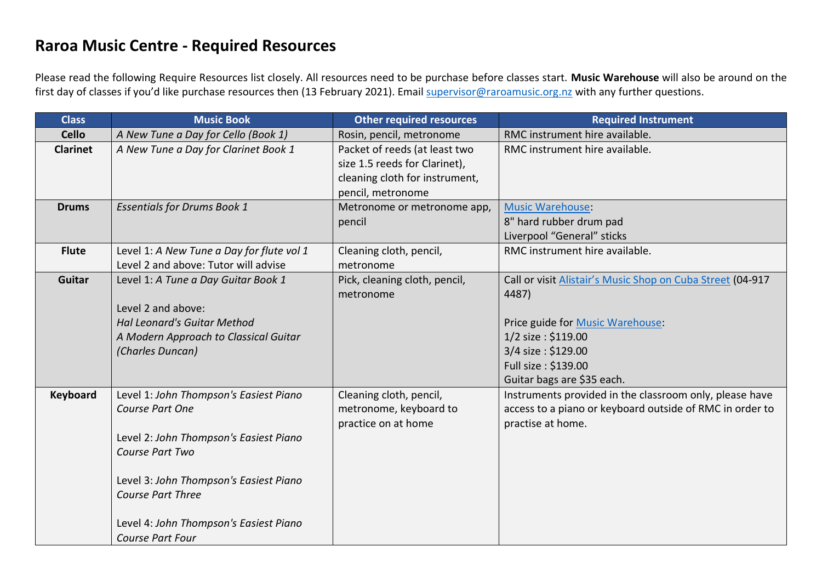## **Raroa Music Centre - Required Resources**

Please read the following Require Resources list closely. All resources need to be purchase before classes start. **Music Warehouse** will also be around on the first day of classes if you'd like purchase resources then (13 February 2021). Email [supervisor@raroamusic.org.nz](mailto:supervisor@raroamusic.org.nz) with any further questions.

| <b>Class</b>    | <b>Music Book</b>                                                                                                                                                                                                                                                 | <b>Other required resources</b>                                                                                       | <b>Required Instrument</b>                                                                                                                                                                               |
|-----------------|-------------------------------------------------------------------------------------------------------------------------------------------------------------------------------------------------------------------------------------------------------------------|-----------------------------------------------------------------------------------------------------------------------|----------------------------------------------------------------------------------------------------------------------------------------------------------------------------------------------------------|
| <b>Cello</b>    | A New Tune a Day for Cello (Book 1)                                                                                                                                                                                                                               | Rosin, pencil, metronome                                                                                              | RMC instrument hire available.                                                                                                                                                                           |
| <b>Clarinet</b> | A New Tune a Day for Clarinet Book 1                                                                                                                                                                                                                              | Packet of reeds (at least two<br>size 1.5 reeds for Clarinet),<br>cleaning cloth for instrument,<br>pencil, metronome | RMC instrument hire available.                                                                                                                                                                           |
| <b>Drums</b>    | <b>Essentials for Drums Book 1</b>                                                                                                                                                                                                                                | Metronome or metronome app,<br>pencil                                                                                 | <b>Music Warehouse:</b><br>8" hard rubber drum pad<br>Liverpool "General" sticks                                                                                                                         |
| <b>Flute</b>    | Level 1: A New Tune a Day for flute vol 1<br>Level 2 and above: Tutor will advise                                                                                                                                                                                 | Cleaning cloth, pencil,<br>metronome                                                                                  | RMC instrument hire available.                                                                                                                                                                           |
| Guitar          | Level 1: A Tune a Day Guitar Book 1<br>Level 2 and above:<br><b>Hal Leonard's Guitar Method</b><br>A Modern Approach to Classical Guitar<br>(Charles Duncan)                                                                                                      | Pick, cleaning cloth, pencil,<br>metronome                                                                            | Call or visit Alistair's Music Shop on Cuba Street (04-917<br>4487)<br>Price guide for Music Warehouse:<br>1/2 size: \$119.00<br>3/4 size: \$129.00<br>Full size: \$139.00<br>Guitar bags are \$35 each. |
| <b>Keyboard</b> | Level 1: John Thompson's Easiest Piano<br>Course Part One<br>Level 2: John Thompson's Easiest Piano<br>Course Part Two<br>Level 3: John Thompson's Easiest Piano<br><b>Course Part Three</b><br>Level 4: John Thompson's Easiest Piano<br><b>Course Part Four</b> | Cleaning cloth, pencil,<br>metronome, keyboard to<br>practice on at home                                              | Instruments provided in the classroom only, please have<br>access to a piano or keyboard outside of RMC in order to<br>practise at home.                                                                 |